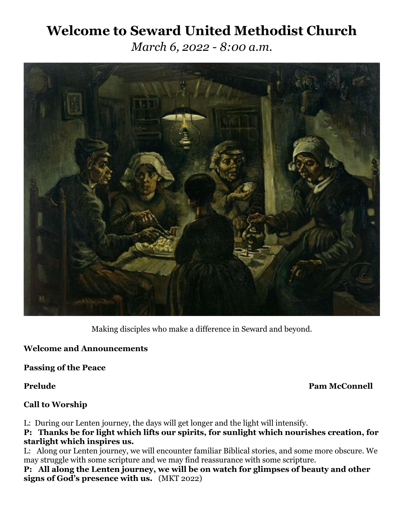# **Welcome to Seward United Methodist Church**

*March 6, 2022 - 8:00 a.m.*



Making disciples who make a difference in Seward and beyond.

# **Welcome and Announcements**

**Passing of the Peace**

**Prelude Pam McConnell**

### **Call to Worship**

L: During our Lenten journey, the days will get longer and the light will intensify.

**P: Thanks be for light which lifts our spirits, for sunlight which nourishes creation, for starlight which inspires us.** 

L: Along our Lenten journey, we will encounter familiar Biblical stories, and some more obscure. We may struggle with some scripture and we may find reassurance with some scripture.

**P: All along the Lenten journey, we will be on watch for glimpses of beauty and other signs of God's presence with us.** (MKT 2022)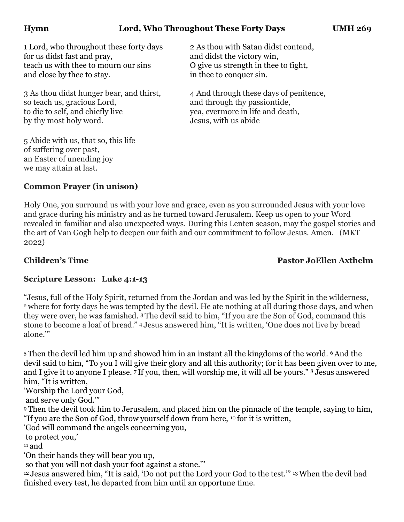# **Hymn Lord, Who Throughout These Forty Days UMH 269**

1 Lord, who throughout these forty days 2 As thou with Satan didst contend, for us didst fast and pray, and didst the victory win, teach us with thee to mourn our sins O give us strength in thee to fight, and close by thee to stay.  $\qquad \qquad$  in thee to conquer sin.

3 As thou didst hunger bear, and thirst, 4 And through these days of penitence, so teach us, gracious Lord, and through thy passiontide, to die to self, and chiefly live yea, evermore in life and death, by thy most holy word. Jesus, with us abide

5 Abide with us, that so, this life of suffering over past, an Easter of unending joy we may attain at last.

# **Common Prayer (in unison)**

Holy One, you surround us with your love and grace, even as you surrounded Jesus with your love and grace during his ministry and as he turned toward Jerusalem. Keep us open to your Word revealed in familiar and also unexpected ways. During this Lenten season, may the gospel stories and the art of Van Gogh help to deepen our faith and our commitment to follow Jesus. Amen. (MKT 2022)

**Children's Time Pastor JoEllen Axthelm**

# **Scripture Lesson: Luke 4:1-13**

"Jesus, full of the Holy Spirit, returned from the Jordan and was led by the Spirit in the wilderness, <sup>2</sup> where for forty days he was tempted by the devil. He ate nothing at all during those days, and when they were over, he was famished. 3 The devil said to him, "If you are the Son of God, command this stone to become a loaf of bread." 4 Jesus answered him, "It is written, 'One does not live by bread alone.'"

<sup>5</sup> Then the devil led him up and showed him in an instant all the kingdoms of the world. 6And the devil said to him, "To you I will give their glory and all this authority; for it has been given over to me, and I give it to anyone I please. 7 If you, then, will worship me, it will all be yours." 8 Jesus answered him, "It is written,

'Worship the Lord your God,

and serve only God.'"

<sup>9</sup> Then the devil took him to Jerusalem, and placed him on the pinnacle of the temple, saying to him, "If you are the Son of God, throw yourself down from here, 10 for it is written,

'God will command the angels concerning you,

to protect you,'

 $11$  and

'On their hands they will bear you up,

so that you will not dash your foot against a stone.'"

<sup>12</sup> Jesus answered him, "It is said, 'Do not put the Lord your God to the test.'" 13When the devil had finished every test, he departed from him until an opportune time.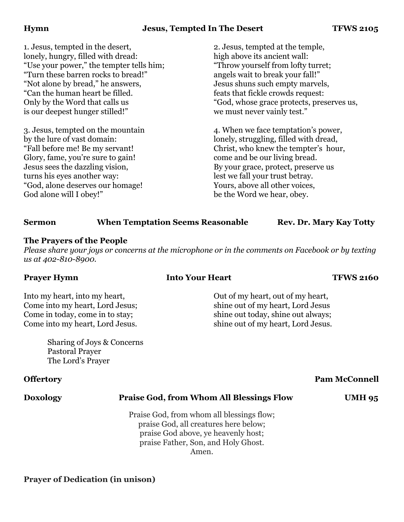### **Hymn Jesus, Tempted In The Desert TFWS 2105**

1. Jesus, tempted in the desert, 2. Jesus, tempted at the temple, lonely, hungry, filled with dread: high above its ancient wall: "Use your power," the tempter tells him; "Throw yourself from lofty turret; "Turn these barren rocks to bread!" angels wait to break your fall!" "Not alone by bread," he answers, Jesus shuns such empty marvels, "Can the human heart be filled. feats that fickle crowds request: is our deepest hunger stilled!" we must never vainly test."

Glory, fame, you're sure to gain! come and be our living bread. Jesus sees the dazzling vision, By your grace, protect, preserve us turns his eyes another way: lest we fall your trust betray. "God, alone deserves our homage! Yours, above all other voices, God alone will I obey!" be the Word we hear, obey.

Only by the Word that calls us  $\degree$  God, whose grace protects, preserves us,

3. Jesus, tempted on the mountain 4. When we face temptation's power, by the lure of vast domain: lonely, struggling, filled with dread, "Fall before me! Be my servant! Christ, who knew the tempter's hour,

### **Sermon** When Temptation Seems Reasonable Rev. Dr. Mary Kay Totty

### **The Prayers of the People**

*Please share your joys or concerns at the microphone or in the comments on Facebook or by texting us at 402-810-8900.*

**Prayer Hymn Into Your Heart TFWS 2160** 

Into my heart, into my heart,  $\frac{1}{2}$  Out of my heart, out of my heart, Come into my heart, Lord Jesus:<br>
shine out of my heart, Lord Jesus Come in today, come in to stay: shine out today, shine out always; Come into my heart, Lord Jesus. shine out of my heart, Lord Jesus.

Sharing of Joys & Concerns Pastoral Prayer The Lord's Prayer

### **Doxology Praise God, from Whom All Blessings Flow UMH 95**

Praise God, from whom all blessings flow; praise God, all creatures here below; praise God above, ye heavenly host; praise Father, Son, and Holy Ghost. Amen.

### **Prayer of Dedication (in unison)**

# **Offertory** Pam McConnell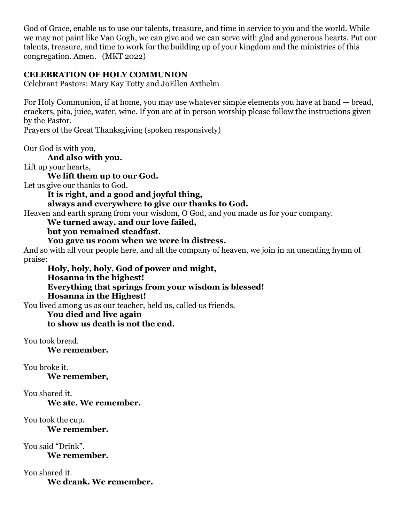God of Grace, enable us to use our talents, treasure, and time in service to you and the world. While we may not paint like Van Gogh, we can give and we can serve with glad and generous hearts. Put our talents, treasure, and time to work for the building up of your kingdom and the ministries of this congregation. Amen. (MKT 2022)

# **CELEBRATION OF HOLY COMMUNION**

Celebrant Pastors: Mary Kay Totty and JoEllen Axthelm

For Holy Communion, if at home, you may use whatever simple elements you have at hand — bread, crackers, pita, juice, water, wine. If you are at in person worship please follow the instructions given by the Pastor.

Prayers of the Great Thanksgiving (spoken responsively)

Our God is with you,

**And also with you.**

Lift up your hearts,

**We lift them up to our God.**

Let us give our thanks to God.

**It is right, and a good and joyful thing,** 

### **always and everywhere to give our thanks to God.**

Heaven and earth sprang from your wisdom, O God, and you made us for your company.

## **We turned away, and our love failed,**

**but you remained steadfast.**

### **You gave us room when we were in distress.**

And so with all your people here, and all the company of heaven, we join in an unending hymn of praise:

**Holy, holy, holy, God of power and might, Hosanna in the highest! Everything that springs from your wisdom is blessed! Hosanna in the Highest!**

You lived among us as our teacher, held us, called us friends.

# **You died and live again to show us death is not the end.**

You took bread.

**We remember.** 

### You broke it.

**We remember,** 

### You shared it.

**We ate. We remember.** 

# You took the cup.

**We remember.**

You said "Drink".

**We remember.** 

You shared it. **We drank. We remember.**